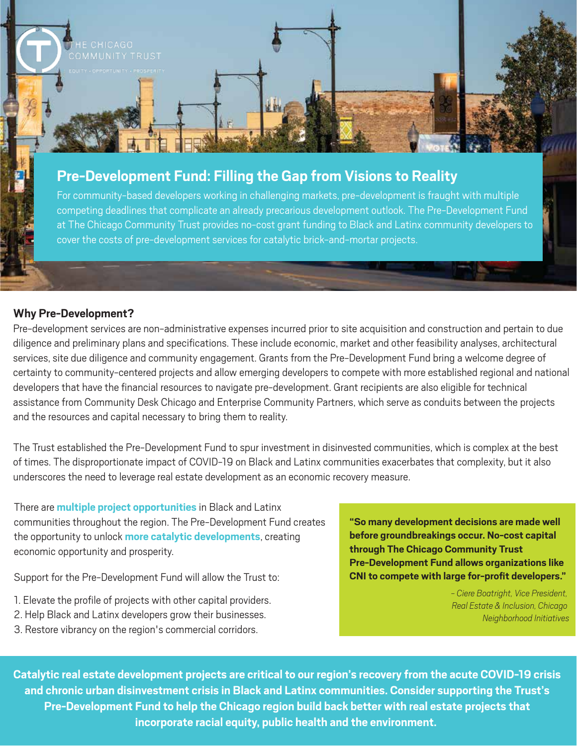

# **Pre-Development Fund: Filling the Gap from Visions to Reality**

For community-based developers working in challenging markets, pre-development is fraught with multiple competing deadlines that complicate an already precarious development outlook. The Pre-Development Fund at The Chicago Community Trust provides no-cost grant funding to Black and Latinx community developers to cover the costs of pre-development services for catalytic brick-and-mortar projects.

# **Why Pre-Development?**

Pre-development services are non-administrative expenses incurred prior to site acquisition and construction and pertain to due diligence and preliminary plans and specifications. These include economic, market and other feasibility analyses, architectural services, site due diligence and community engagement. Grants from the Pre-Development Fund bring a welcome degree of certainty to community-centered projects and allow emerging developers to compete with more established regional and national developers that have the financial resources to navigate pre-development. Grant recipients are also eligible for technical assistance from Community Desk Chicago and Enterprise Community Partners, which serve as conduits between the projects and the resources and capital necessary to bring them to reality.

The Trust established the Pre-Development Fund to spur investment in disinvested communities, which is complex at the best of times. The disproportionate impact of COVID-19 on Black and Latinx communities exacerbates that complexity, but it also underscores the need to leverage real estate development as an economic recovery measure.

There are **multiple project opportunities** in Black and Latinx communities throughout the region. The Pre-Development Fund creates the opportunity to unlock **more catalytic developments**, creating economic opportunity and prosperity.

Support for the Pre-Development Fund will allow the Trust to:

- 1. Elevate the profile of projects with other capital providers.
- 2. Help Black and Latinx developers grow their businesses.
- 3. Restore vibrancy on the region's commercial corridors.

**"So many development decisions are made well before groundbreakings occur. No-cost capital through The Chicago Community Trust Pre-Development Fund allows organizations like CNI to compete with large for-profit developers."**

> *- Ciere Boatright, Vice President, Real Estate & Inclusion, Chicago Neighborhood Initiatives*

**Catalytic real estate development projects are critical to our region's recovery from the acute COVID-19 crisis and chronic urban disinvestment crisis in Black and Latinx communities. Consider supporting the Trust's Pre-Development Fund to help the Chicago region build back better with real estate projects that incorporate racial equity, public health and the environment.**